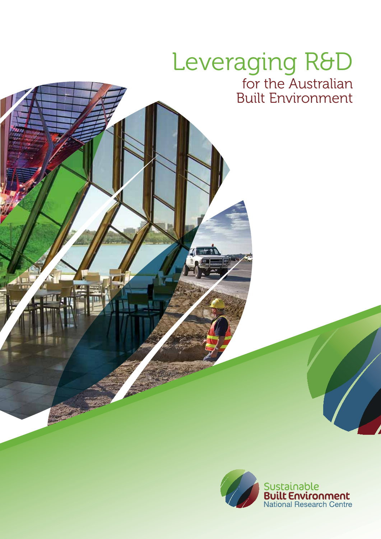# Leveraging R&D for the Australian Built Environment

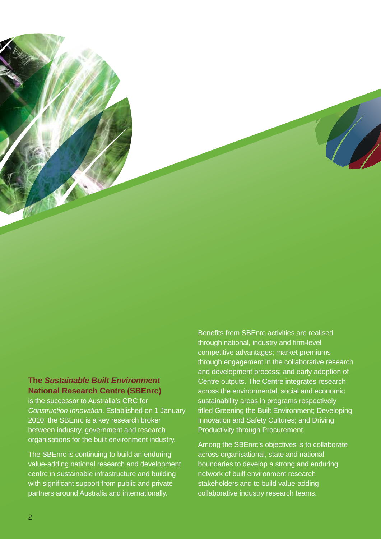

### **The** *Sustainable Built Environment*  **National Research Centre (SBEnrc)**

is the successor to Australia's CRC for *Construction Innovation*. Established on 1 January 2010, the SBEnrc is a key research broker between industry, government and research organisations for the built environment industry.

The SBEnrc is continuing to build an enduring value-adding national research and development centre in sustainable infrastructure and building with significant support from public and private partners around Australia and internationally.

Benefits from SBEnrc activities are realised through national, industry and firm-level competitive advantages; market premiums through engagement in the collaborative research and development process; and early adoption of Centre outputs. The Centre integrates research across the environmental, social and economic sustainability areas in programs respectively titled Greening the Built Environment; Developing Innovation and Safety Cultures; and Driving Productivity through Procurement.

Among the SBEnrc's objectives is to collaborate across organisational, state and national boundaries to develop a strong and enduring network of built environment research stakeholders and to build value-adding collaborative industry research teams.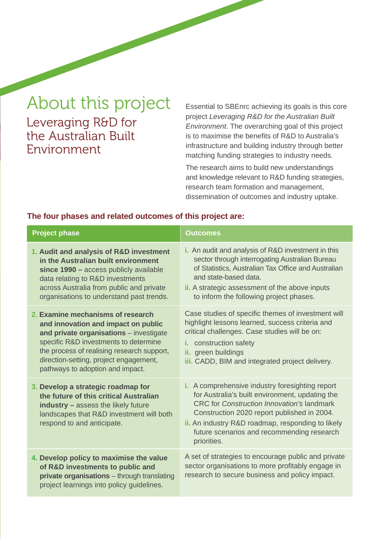# About this project Essential to SBEnrc achieving its goals is this core Leveraging R&D for the Australian Built Environment

project *Leveraging R&D for the Australian Built Environment*. The overarching goal of this project is to maximise the benefits of R&D to Australia's infrastructure and building industry through better matching funding strategies to industry needs.

The research aims to build new understandings and knowledge relevant to R&D funding strategies, research team formation and management, dissemination of outcomes and industry uptake.

### **The four phases and related outcomes of this project are:**

| <b>Project phase</b>                                                                                                                                                                                                                                                                     | <b>Outcomes</b>                                                                                                                                                                                                                                                                                                                 |
|------------------------------------------------------------------------------------------------------------------------------------------------------------------------------------------------------------------------------------------------------------------------------------------|---------------------------------------------------------------------------------------------------------------------------------------------------------------------------------------------------------------------------------------------------------------------------------------------------------------------------------|
| 1. Audit and analysis of R&D investment<br>in the Australian built environment<br>since 1990 - access publicly available<br>data relating to R&D investments<br>across Australia from public and private<br>organisations to understand past trends.                                     | i. An audit and analysis of R&D investment in this<br>sector through interrogating Australian Bureau<br>of Statistics, Australian Tax Office and Australian<br>and state-based data.<br>ii. A strategic assessment of the above inputs<br>to inform the following project phases.                                               |
| 2. Examine mechanisms of research<br>and innovation and impact on public<br>and private organisations - investigate<br>specific R&D investments to determine<br>the process of realising research support,<br>direction-setting, project engagement,<br>pathways to adoption and impact. | Case studies of specific themes of investment will<br>highlight lessons learned, success criteria and<br>critical challenges. Case studies will be on:<br>construction safety<br>i.<br>green buildings<br>ii.<br>iii. CADD, BIM and integrated project delivery.                                                                |
| 3. Develop a strategic roadmap for<br>the future of this critical Australian<br><b>industry</b> – assess the likely future<br>landscapes that R&D investment will both<br>respond to and anticipate.                                                                                     | i. A comprehensive industry foresighting report<br>for Australia's built environment, updating the<br><b>CRC</b> for <i>Construction Innovation's</i> landmark<br>Construction 2020 report published in 2004.<br>ii. An industry R&D roadmap, responding to likely<br>future scenarios and recommending research<br>priorities. |
| 4. Develop policy to maximise the value<br>of R&D investments to public and<br>private organisations - through translating<br>project learnings into policy guidelines.                                                                                                                  | A set of strategies to encourage public and private<br>sector organisations to more profitably engage in<br>research to secure business and policy impact.                                                                                                                                                                      |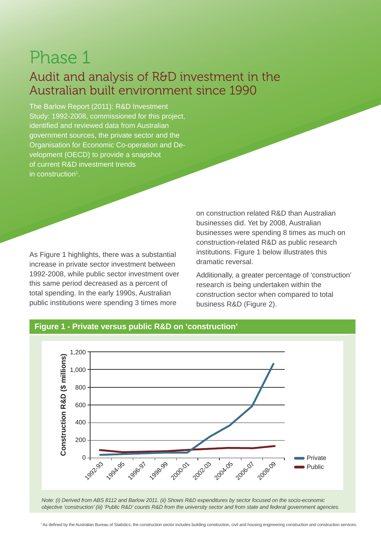# Phase 1

# Audit and analysis of R&D investment in the Australian built environment since 1990

The Barlow Report (2011): R&D Investment Study: 1992-2008, commissioned for this project, identified and reviewed data from Australian government sources, the private sector and the Organisation for Economic Co-operation and Development (OECD) to provide a snapshot of current R&D investment trends in construction<sup>1</sup>.

As Figure 1 highlights, there was a substantial increase in private sector investment between 1992-2008, while public sector investment over this same period decreased as a percent of total spending. In the early 1990s, Australian public institutions were spending 3 times more

on construction related R&D than Australian businesses did. Yet by 2008, Australian businesses were spending 8 times as much on construction-related R&D as public research institutions. Figure 1 below illustrates this dramatic reversal.

Additionally, a greater percentage of 'construction' research is being undertaken within the construction sector when compared to total business R&D (Figure 2).

### **Figure 1 - Private versus public R&D on 'construction'**



*Note: (i) Derived from ABS 8112 and Barlow 2011. (ii) Shows R&D expenditures by sector focused on the socio-economic*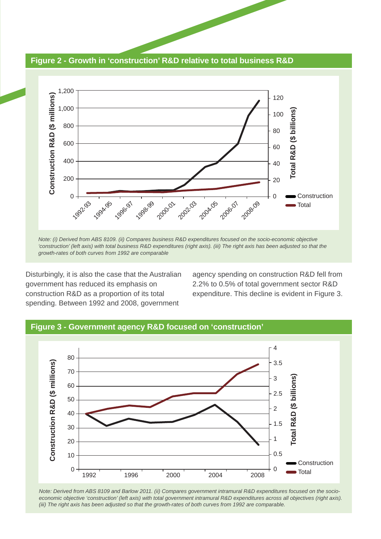#### **Figure 2 - Growth in 'construction' R&D relative to total business R&D**



*Note: (i) Derived from ABS 8109. (ii) Compares business R&D expenditures focused on the socio-economic objective 'construction' (left axis) with total business R&D expenditures (right axis). (iii) The right axis has been adjusted so that the growth-rates of both curves from 1992 are comparable*

Disturbingly, it is also the case that the Australian government has reduced its emphasis on construction R&D as a proportion of its total spending. Between 1992 and 2008, government

agency spending on construction R&D fell from 2.2% to 0.5% of total government sector R&D expenditure. This decline is evident in Figure 3.

### **Figure 3 - Government agency R&D focused on 'construction'**



*Note: Derived from ABS 8109 and Barlow 2011. (ii) Compares government intramural R&D expenditures focused on the socioeconomic objective 'construction' (left axis) with total government intramural R&D expenditures across all objectives (right axis). (iii) The right axis has been adjusted so that the growth-rates of both curves from 1992 are comparable.*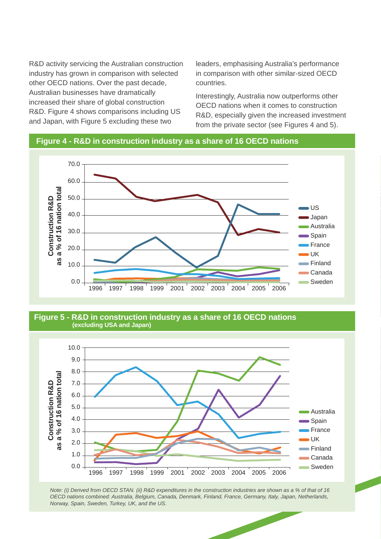R&D activity servicing the Australian construction industry has grown in comparison with selected other OECD nations. Over the past decade, Australian businesses have dramatically increased their share of global construction R&D. Figure 4 shows comparisons including US and Japan, with Figure 5 excluding these two

leaders, emphasising Australia's performance in comparison with other similar-sized OECD countries.

Interestingly, Australia now outperforms other OECD nations when it comes to construction R&D, especially given the increased investment from the private sector (see Figures 4 and 5).

#### **Figure 4 - R&D in construction industry as a share of 16 OECD nations**



**Figure 5 - R&D in construction industry as a share of 16 OECD nations (excluding USA and Japan)**



*Note: (i) Derived from OECD STAN. (ii) R&D expenditures in the construction industries are shown as a % of that of 16 OECD nations combined: Australia, Belgium, Canada, Denmark, Finland, France, Germany, Italy, Japan, Netherlands,*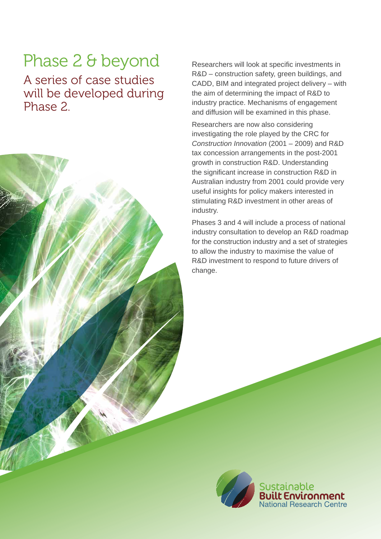# Phase 2 & beyond A series of case studies will be developed during Phase 2.

Researchers will look at specific investments in R&D – construction safety, green buildings, and CADD, BIM and integrated project delivery – with the aim of determining the impact of R&D to industry practice. Mechanisms of engagement and diffusion will be examined in this phase.

Researchers are now also considering investigating the role played by the CRC for *Construction Innovation* (2001 – 2009) and R&D tax concession arrangements in the post-2001 growth in construction R&D. Understanding the significant increase in construction R&D in Australian industry from 2001 could provide very useful insights for policy makers interested in stimulating R&D investment in other areas of industry.

Phases 3 and 4 will include a process of national industry consultation to develop an R&D roadmap for the construction industry and a set of strategies to allow the industry to maximise the value of R&D investment to respond to future drivers of change.